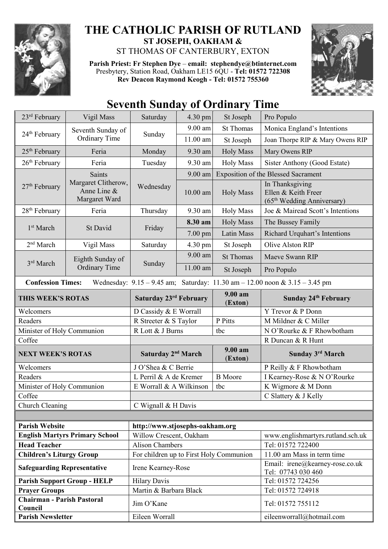

## **THE CATHOLIC PARISH OF RUTLAND ST JOSEPH, OAKHAM &**

ST THOMAS OF CANTERBURY, EXTON

**Parish Priest: Fr Stephen Dye** – **[email: stephendye@btinternet.com](mailto:email:%20%20stephendye@btinternet.com)** Presbytery, Station Road, Oakham LE15 6QU - **Tel: 01572 722308 Rev Deacon Raymond Keogh - Tel: 01572 755360**



## **Seventh Sunday of Ordinary Time**

| 23rd February                                                                                                   | Vigil Mass                                                           | Saturday                                | 4.30 pm    | St Joseph          | Pro Populo                                                                       |  |
|-----------------------------------------------------------------------------------------------------------------|----------------------------------------------------------------------|-----------------------------------------|------------|--------------------|----------------------------------------------------------------------------------|--|
| 24 <sup>th</sup> February                                                                                       | Seventh Sunday of<br><b>Ordinary Time</b>                            | Sunday                                  | 9.00 am    | <b>St Thomas</b>   | Monica England's Intentions                                                      |  |
|                                                                                                                 |                                                                      |                                         | $11.00$ am | St Joseph          | Joan Thorpe RIP & Mary Owens RIP                                                 |  |
| 25 <sup>th</sup> February                                                                                       | Feria                                                                | Monday                                  | 9.30 am    | <b>Holy Mass</b>   | Mary Owens RIP                                                                   |  |
| $26th$ February                                                                                                 | Feria                                                                | Tuesday                                 | 9.30 am    | <b>Holy Mass</b>   | Sister Anthony (Good Estate)                                                     |  |
| 27 <sup>th</sup> February                                                                                       | <b>Saints</b><br>Margaret Clitherow,<br>Anne Line &<br>Margaret Ward | Wednesday                               | 9.00 am    |                    | <b>Exposition of the Blessed Sacrament</b>                                       |  |
|                                                                                                                 |                                                                      |                                         | 10.00 am   | <b>Holy Mass</b>   | In Thanksgiving<br>Ellen & Keith Freer<br>(65 <sup>th</sup> Wedding Anniversary) |  |
| $28th$ February                                                                                                 | Feria                                                                | Thursday                                | 9.30 am    | <b>Holy Mass</b>   | Joe & Mairead Scott's Intentions                                                 |  |
| 1 <sup>st</sup> March                                                                                           | St David                                                             | Friday                                  | 8.30 am    | <b>Holy Mass</b>   | The Bussey Family                                                                |  |
|                                                                                                                 |                                                                      |                                         | 7.00 pm    | <b>Latin Mass</b>  | Richard Urquhart's Intentions                                                    |  |
| 2 <sup>nd</sup> March                                                                                           | Vigil Mass                                                           | Saturday                                | 4.30 pm    | St Joseph          | Olive Alston RIP                                                                 |  |
|                                                                                                                 | Eighth Sunday of<br><b>Ordinary Time</b>                             | Sunday                                  | 9.00 am    | <b>St Thomas</b>   | Maeve Swann RIP                                                                  |  |
| 3rd March                                                                                                       |                                                                      |                                         | $11.00$ am | St Joseph          | Pro Populo                                                                       |  |
| <b>Confession Times:</b><br>Wednesday: $9.15 - 9.45$ am; Saturday: $11.30$ am $- 12.00$ noon & $3.15 - 3.45$ pm |                                                                      |                                         |            |                    |                                                                                  |  |
| THIS WEEK'S ROTAS                                                                                               |                                                                      | Saturday 23rd February                  |            | 9.00 am<br>(Exton) | Sunday 24th February                                                             |  |
| Welcomers                                                                                                       |                                                                      | D Cassidy & E Worrall                   |            |                    | Y Trevor & P Donn                                                                |  |
| Readers                                                                                                         |                                                                      | R Streeter & S Taylor                   |            | P Pitts            | M Mildner & C Miller                                                             |  |
| Minister of Holy Communion                                                                                      |                                                                      | R Lott & J Burns                        |            | tbc                | N O'Rourke & F Rhowbotham                                                        |  |
| Coffee                                                                                                          |                                                                      |                                         |            |                    | R Duncan & R Hunt                                                                |  |
| <b>NEXT WEEK'S ROTAS</b>                                                                                        |                                                                      | Saturday 2 <sup>nd</sup> March          |            | 9.00 am<br>(Exton) | Sunday 3rd March                                                                 |  |
| Welcomers                                                                                                       |                                                                      | J O'Shea & C Berrie                     |            |                    | P Reilly & F Rhowbotham                                                          |  |
| Readers                                                                                                         |                                                                      | L Perril & A de Kremer                  |            | <b>B</b> Moore     | I Kearney-Rose & N O'Rourke                                                      |  |
| Minister of Holy Communion                                                                                      |                                                                      | E Worrall & A Wilkinson<br>tbc          |            |                    | K Wigmore & M Donn                                                               |  |
| Coffee                                                                                                          |                                                                      |                                         |            |                    | C Slattery & J Kelly                                                             |  |
| Church Cleaning                                                                                                 |                                                                      | C Wignall & H Davis                     |            |                    |                                                                                  |  |
|                                                                                                                 |                                                                      |                                         |            |                    |                                                                                  |  |
| <b>Parish Website</b>                                                                                           |                                                                      | http://www.stjosephs-oakham.org         |            |                    |                                                                                  |  |
| <b>English Martyrs Primary School</b>                                                                           |                                                                      | Willow Crescent, Oakham                 |            |                    | www.englishmartyrs.rutland.sch.uk                                                |  |
| <b>Head Teacher</b>                                                                                             |                                                                      | <b>Alison Chambers</b>                  |            |                    | Tel: 01572 722400                                                                |  |
| <b>Children's Liturgy Group</b>                                                                                 |                                                                      | For children up to First Holy Communion |            |                    | 11.00 am Mass in term time                                                       |  |
| <b>Safeguarding Representative</b>                                                                              |                                                                      | Irene Kearney-Rose                      |            |                    | Email: irene@kearney-rose.co.uk<br>Tel: 07743 030 460                            |  |
| <b>Parish Support Group - HELP</b>                                                                              |                                                                      | <b>Hilary Davis</b>                     |            |                    | Tel: 01572 724256                                                                |  |
| <b>Prayer Groups</b>                                                                                            |                                                                      | Martin & Barbara Black                  |            |                    | Tel: 01572 724918                                                                |  |
| <b>Chairman - Parish Pastoral</b><br>Council                                                                    |                                                                      | Jim O'Kane                              |            |                    | Tel: 01572 755112                                                                |  |
| <b>Parish Newsletter</b>                                                                                        |                                                                      | Eileen Worrall                          |            |                    | eileenworrall@hotmail.com                                                        |  |